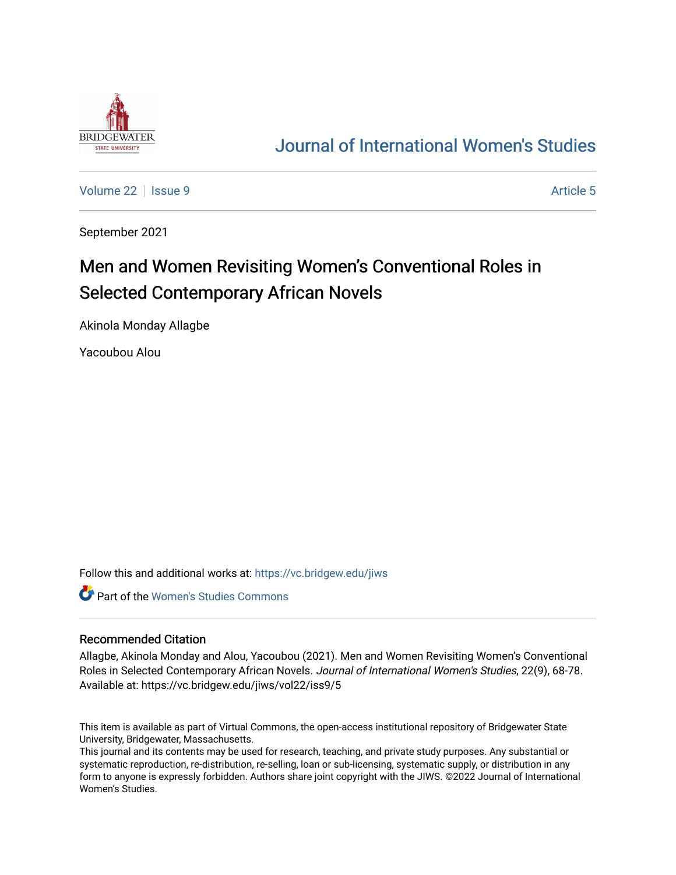

# [Journal of International Women's Studies](https://vc.bridgew.edu/jiws)

[Volume 22](https://vc.bridgew.edu/jiws/vol22) | [Issue 9](https://vc.bridgew.edu/jiws/vol22/iss9) Article 5

September 2021

# Men and Women Revisiting Women's Conventional Roles in Selected Contemporary African Novels

Akinola Monday Allagbe

Yacoubou Alou

Follow this and additional works at: [https://vc.bridgew.edu/jiws](https://vc.bridgew.edu/jiws?utm_source=vc.bridgew.edu%2Fjiws%2Fvol22%2Fiss9%2F5&utm_medium=PDF&utm_campaign=PDFCoverPages)

Part of the [Women's Studies Commons](http://network.bepress.com/hgg/discipline/561?utm_source=vc.bridgew.edu%2Fjiws%2Fvol22%2Fiss9%2F5&utm_medium=PDF&utm_campaign=PDFCoverPages) 

#### Recommended Citation

Allagbe, Akinola Monday and Alou, Yacoubou (2021). Men and Women Revisiting Women's Conventional Roles in Selected Contemporary African Novels. Journal of International Women's Studies, 22(9), 68-78. Available at: https://vc.bridgew.edu/jiws/vol22/iss9/5

This item is available as part of Virtual Commons, the open-access institutional repository of Bridgewater State University, Bridgewater, Massachusetts.

This journal and its contents may be used for research, teaching, and private study purposes. Any substantial or systematic reproduction, re-distribution, re-selling, loan or sub-licensing, systematic supply, or distribution in any form to anyone is expressly forbidden. Authors share joint copyright with the JIWS. ©2022 Journal of International Women's Studies.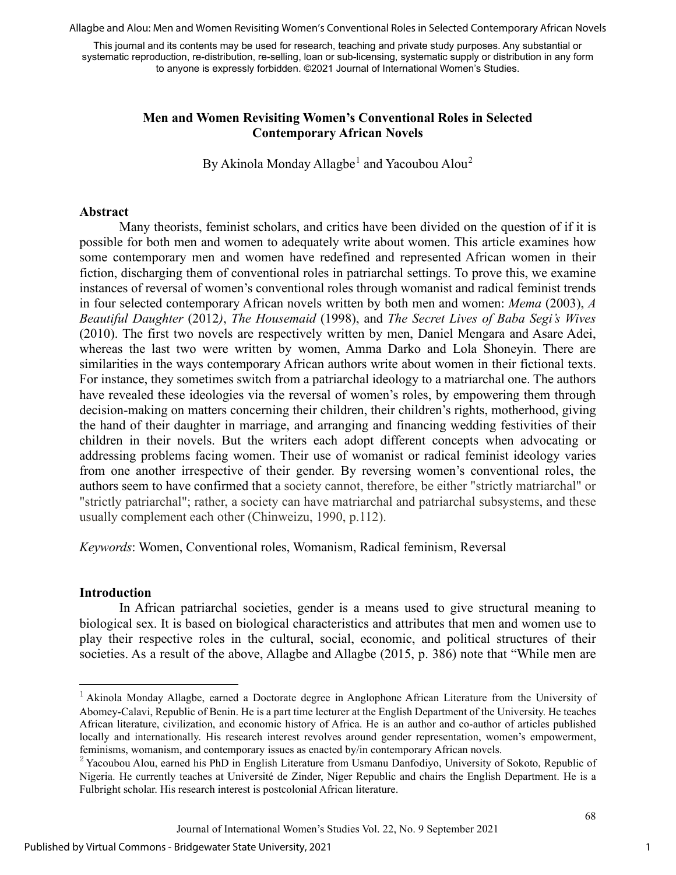Allagbe and Alou: Men and Women Revisiting Women's Conventional Roles in Selected Contemporary African Novels

This journal and its contents may be used for research, teaching and private study purposes. Any substantial or systematic reproduction, re-distribution, re-selling, loan or sub-licensing, systematic supply or distribution in any form to anyone is expressly forbidden. ©2021 Journal of International Women's Studies.

### **Men and Women Revisiting Women's Conventional Roles in Selected Contemporary African Novels**

By Akinola Monday Allagbe<sup>[1](#page-1-0)</sup> and Yacoubou Alou<sup>[2](#page-1-1)</sup>

#### **Abstract**

Many theorists, feminist scholars, and critics have been divided on the question of if it is possible for both men and women to adequately write about women. This article examines how some contemporary men and women have redefined and represented African women in their fiction, discharging them of conventional roles in patriarchal settings. To prove this, we examine instances of reversal of women's conventional roles through womanist and radical feminist trends in four selected contemporary African novels written by both men and women: *Mema* (2003), *A Beautiful Daughter* (2012*)*, *The Housemaid* (1998), and *The Secret Lives of Baba Segi's Wives*  (2010). The first two novels are respectively written by men, Daniel Mengara and Asare Adei, whereas the last two were written by women, Amma Darko and Lola Shoneyin. There are similarities in the ways contemporary African authors write about women in their fictional texts. For instance, they sometimes switch from a patriarchal ideology to a matriarchal one. The authors have revealed these ideologies via the reversal of women's roles, by empowering them through decision-making on matters concerning their children, their children's rights, motherhood, giving the hand of their daughter in marriage, and arranging and financing wedding festivities of their children in their novels. But the writers each adopt different concepts when advocating or addressing problems facing women. Their use of womanist or radical feminist ideology varies from one another irrespective of their gender. By reversing women's conventional roles, the authors seem to have confirmed that a society cannot, therefore, be either "strictly matriarchal" or "strictly patriarchal"; rather, a society can have matriarchal and patriarchal subsystems, and these usually complement each other (Chinweizu, 1990, p.112).

*Keywords*: Women, Conventional roles, Womanism, Radical feminism, Reversal

#### **Introduction**

In African patriarchal societies, gender is a means used to give structural meaning to biological sex. It is based on biological characteristics and attributes that men and women use to play their respective roles in the cultural, social, economic, and political structures of their societies. As a result of the above, Allagbe and Allagbe (2015, p. 386) note that "While men are

<span id="page-1-0"></span><sup>&</sup>lt;sup>1</sup> Akinola Monday Allagbe, earned a Doctorate degree in Anglophone African Literature from the University of Abomey-Calavi, Republic of Benin. He is a part time lecturer at the English Department of the University. He teaches African literature, civilization, and economic history of Africa. He is an author and co-author of articles published locally and internationally. His research interest revolves around gender representation, women's empowerment, feminisms, womanism, and contemporary issues as enacted by/in contemporary African novels.

<span id="page-1-1"></span> $2$  Yacoubou Alou, earned his PhD in English Literature from Usmanu Danfodiyo, University of Sokoto, Republic of Nigeria. He currently teaches at Université de Zinder, Niger Republic and chairs the English Department. He is a Fulbright scholar. His research interest is postcolonial African literature.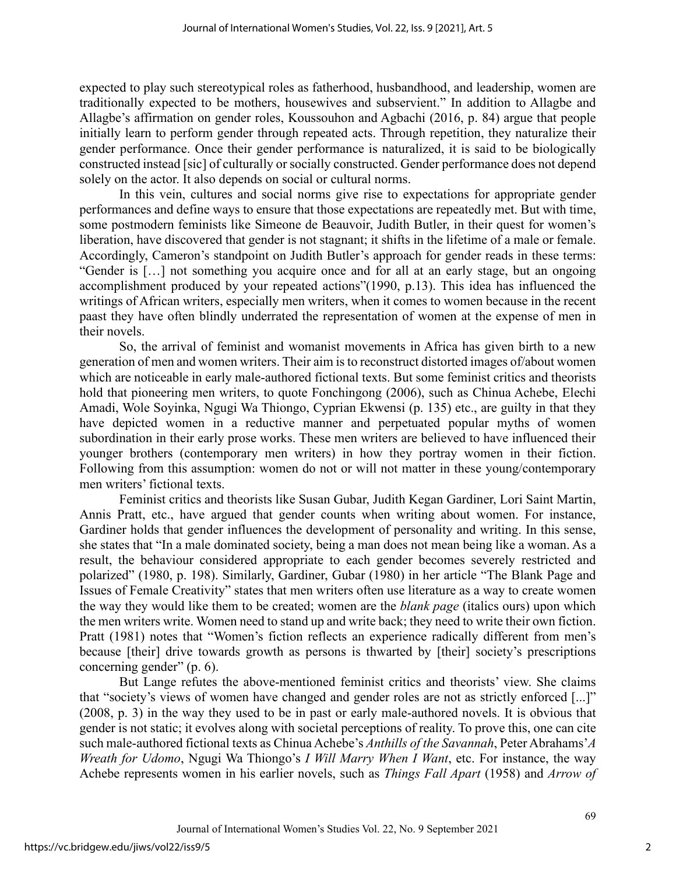expected to play such stereotypical roles as fatherhood, husbandhood, and leadership, women are traditionally expected to be mothers, housewives and subservient." In addition to Allagbe and Allagbe's affirmation on gender roles, Koussouhon and Agbachi (2016, p. 84) argue that people initially learn to perform gender through repeated acts. Through repetition, they naturalize their gender performance. Once their gender performance is naturalized, it is said to be biologically constructed instead [sic] of culturally or socially constructed. Gender performance does not depend solely on the actor. It also depends on social or cultural norms.

In this vein, cultures and social norms give rise to expectations for appropriate gender performances and define ways to ensure that those expectations are repeatedly met. But with time, some postmodern feminists like Simeone de Beauvoir, Judith Butler, in their quest for women's liberation, have discovered that gender is not stagnant; it shifts in the lifetime of a male or female. Accordingly, Cameron's standpoint on Judith Butler's approach for gender reads in these terms: "Gender is […] not something you acquire once and for all at an early stage, but an ongoing accomplishment produced by your repeated actions"(1990, p.13). This idea has influenced the writings of African writers, especially men writers, when it comes to women because in the recent paast they have often blindly underrated the representation of women at the expense of men in their novels.

So, the arrival of feminist and womanist movements in Africa has given birth to a new generation of men and women writers. Their aim is to reconstruct distorted images of/about women which are noticeable in early male-authored fictional texts. But some feminist critics and theorists hold that pioneering men writers, to quote Fonchingong (2006), such as Chinua Achebe, Elechi Amadi, Wole Soyinka, Ngugi Wa Thiongo, Cyprian Ekwensi (p. 135) etc., are guilty in that they have depicted women in a reductive manner and perpetuated popular myths of women subordination in their early prose works. These men writers are believed to have influenced their younger brothers (contemporary men writers) in how they portray women in their fiction. Following from this assumption: women do not or will not matter in these young/contemporary men writers' fictional texts.

Feminist critics and theorists like Susan Gubar, Judith Kegan Gardiner, Lori Saint Martin, Annis Pratt, etc., have argued that gender counts when writing about women. For instance, Gardiner holds that gender influences the development of personality and writing. In this sense, she states that "In a male dominated society, being a man does not mean being like a woman. As a result, the behaviour considered appropriate to each gender becomes severely restricted and polarized" (1980, p. 198). Similarly, Gardiner, Gubar (1980) in her article "The Blank Page and Issues of Female Creativity" states that men writers often use literature as a way to create women the way they would like them to be created; women are the *blank page* (italics ours) upon which the men writers write. Women need to stand up and write back; they need to write their own fiction. Pratt (1981) notes that "Women's fiction reflects an experience radically different from men's because [their] drive towards growth as persons is thwarted by [their] society's prescriptions concerning gender" (p. 6).

But Lange refutes the above-mentioned feminist critics and theorists' view. She claims that "society's views of women have changed and gender roles are not as strictly enforced [...]" (2008, p. 3) in the way they used to be in past or early male-authored novels. It is obvious that gender is not static; it evolves along with societal perceptions of reality. To prove this, one can cite such male-authored fictional texts as Chinua Achebe's *Anthills of the Savannah*, Peter Abrahams'*A Wreath for Udomo*, Ngugi Wa Thiongo's *I Will Marry When I Want*, etc. For instance, the way Achebe represents women in his earlier novels, such as *Things Fall Apart* (1958) and *Arrow of*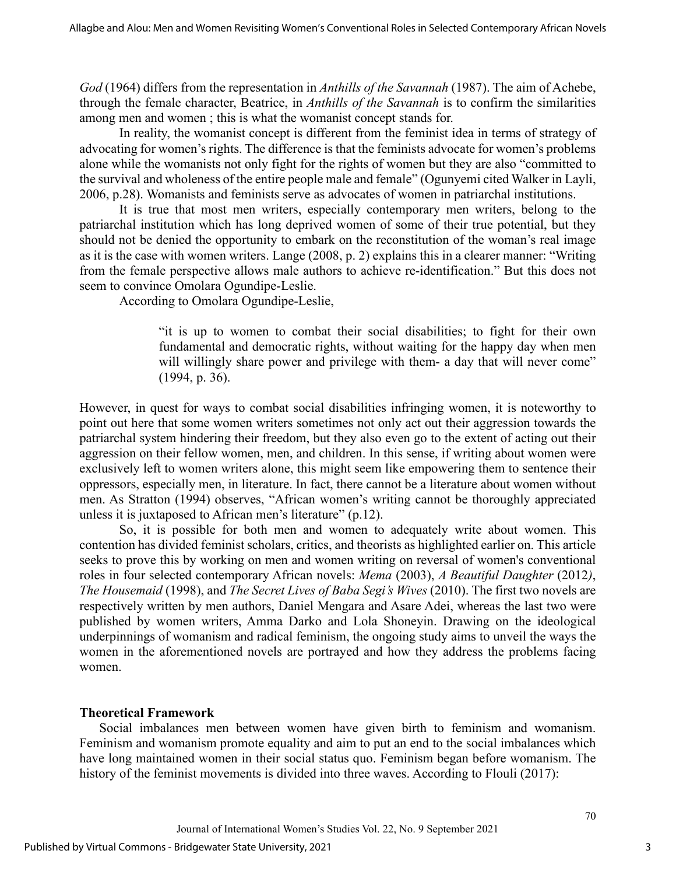*God* (1964) differs from the representation in *Anthills of the Savannah* (1987). The aim of Achebe, through the female character, Beatrice, in *Anthills of the Savannah* is to confirm the similarities among men and women ; this is what the womanist concept stands for.

In reality, the womanist concept is different from the feminist idea in terms of strategy of advocating for women's rights. The difference is that the feminists advocate for women's problems alone while the womanists not only fight for the rights of women but they are also "committed to the survival and wholeness of the entire people male and female" (Ogunyemi cited Walker in Layli, 2006, p.28). Womanists and feminists serve as advocates of women in patriarchal institutions.

It is true that most men writers, especially contemporary men writers, belong to the patriarchal institution which has long deprived women of some of their true potential, but they should not be denied the opportunity to embark on the reconstitution of the woman's real image as it is the case with women writers. Lange (2008, p. 2) explains this in a clearer manner: "Writing from the female perspective allows male authors to achieve re-identification." But this does not seem to convince Omolara Ogundipe-Leslie.

According to Omolara Ogundipe-Leslie,

"it is up to women to combat their social disabilities; to fight for their own fundamental and democratic rights, without waiting for the happy day when men will willingly share power and privilege with them- a day that will never come" (1994, p. 36).

However, in quest for ways to combat social disabilities infringing women, it is noteworthy to point out here that some women writers sometimes not only act out their aggression towards the patriarchal system hindering their freedom, but they also even go to the extent of acting out their aggression on their fellow women, men, and children. In this sense, if writing about women were exclusively left to women writers alone, this might seem like empowering them to sentence their oppressors, especially men, in literature. In fact, there cannot be a literature about women without men. As Stratton (1994) observes, "African women's writing cannot be thoroughly appreciated unless it is juxtaposed to African men's literature" (p.12).

So, it is possible for both men and women to adequately write about women. This contention has divided feminist scholars, critics, and theorists as highlighted earlier on. This article seeks to prove this by working on men and women writing on reversal of women's conventional roles in four selected contemporary African novels: *Mema* (2003), *A Beautiful Daughter* (2012*)*, *The Housemaid* (1998), and *The Secret Lives of Baba Segi's Wives* (2010). The first two novels are respectively written by men authors, Daniel Mengara and Asare Adei, whereas the last two were published by women writers, Amma Darko and Lola Shoneyin. Drawing on the ideological underpinnings of womanism and radical feminism, the ongoing study aims to unveil the ways the women in the aforementioned novels are portrayed and how they address the problems facing women.

#### **Theoretical Framework**

Social imbalances men between women have given birth to feminism and womanism. Feminism and womanism promote equality and aim to put an end to the social imbalances which have long maintained women in their social status quo. Feminism began before womanism. The history of the feminist movements is divided into three waves. According to Flouli (2017):

3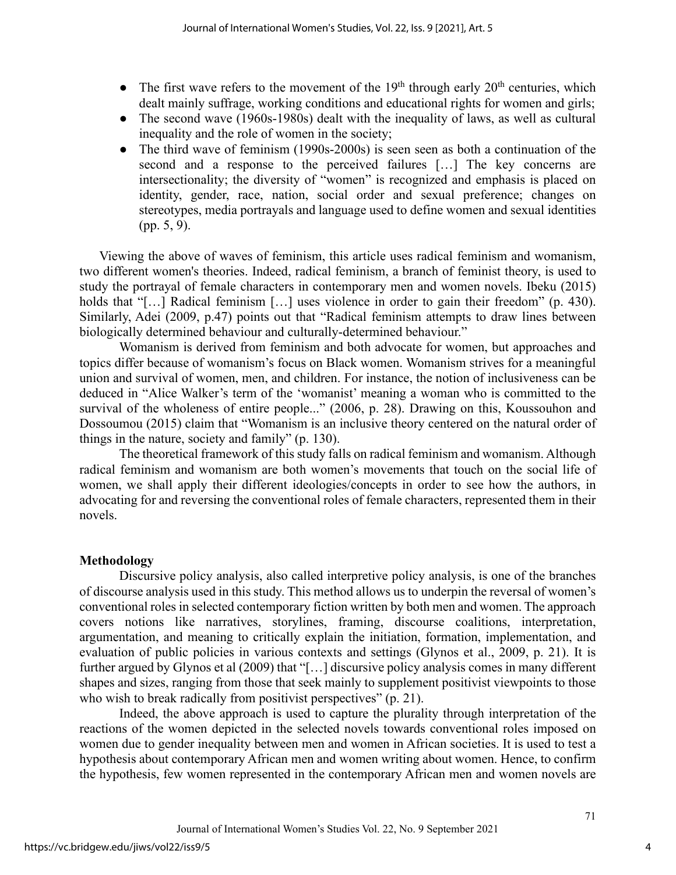- The first wave refers to the movement of the  $19<sup>th</sup>$  through early  $20<sup>th</sup>$  centuries, which dealt mainly suffrage, working conditions and educational rights for women and girls;
- The second wave (1960s-1980s) dealt with the inequality of laws, as well as cultural inequality and the role of women in the society;
- The third wave of feminism (1990s-2000s) is seen seen as both a continuation of the second and a response to the perceived failures […] The key concerns are intersectionality; the diversity of "women" is recognized and emphasis is placed on identity, gender, race, nation, social order and sexual preference; changes on stereotypes, media portrayals and language used to define women and sexual identities (pp. 5, 9).

Viewing the above of waves of feminism, this article uses radical feminism and womanism, two different women's theories. Indeed, radical feminism, a branch of feminist theory, is used to study the portrayal of female characters in contemporary men and women novels. Ibeku (2015) holds that "[...] Radical feminism [...] uses violence in order to gain their freedom" (p. 430). Similarly, Adei (2009, p.47) points out that "Radical feminism attempts to draw lines between biologically determined behaviour and culturally-determined behaviour."

Womanism is derived from feminism and both advocate for women, but approaches and topics differ because of womanism's focus on Black women. Womanism strives for a meaningful union and survival of women, men, and children. For instance, the notion of inclusiveness can be deduced in "Alice Walker's term of the 'womanist' meaning a woman who is committed to the survival of the wholeness of entire people..." (2006, p. 28). Drawing on this, Koussouhon and Dossoumou (2015) claim that "Womanism is an inclusive theory centered on the natural order of things in the nature, society and family" (p. 130).

The theoretical framework of this study falls on radical feminism and womanism. Although radical feminism and womanism are both women's movements that touch on the social life of women, we shall apply their different ideologies/concepts in order to see how the authors, in advocating for and reversing the conventional roles of female characters, represented them in their novels.

#### **Methodology**

Discursive policy analysis, also called interpretive policy analysis, is one of the branches of discourse analysis used in this study. This method allows us to underpin the reversal of women's conventional roles in selected contemporary fiction written by both men and women. The approach covers notions like narratives, storylines, framing, discourse coalitions, interpretation, argumentation, and meaning to critically explain the initiation, formation, implementation, and evaluation of public policies in various contexts and settings (Glynos et al., 2009, p. 21). It is further argued by Glynos et al (2009) that "[…] discursive policy analysis comes in many different shapes and sizes, ranging from those that seek mainly to supplement positivist viewpoints to those who wish to break radically from positivist perspectives" (p. 21).

Indeed, the above approach is used to capture the plurality through interpretation of the reactions of the women depicted in the selected novels towards conventional roles imposed on women due to gender inequality between men and women in African societies. It is used to test a hypothesis about contemporary African men and women writing about women. Hence, to confirm the hypothesis, few women represented in the contemporary African men and women novels are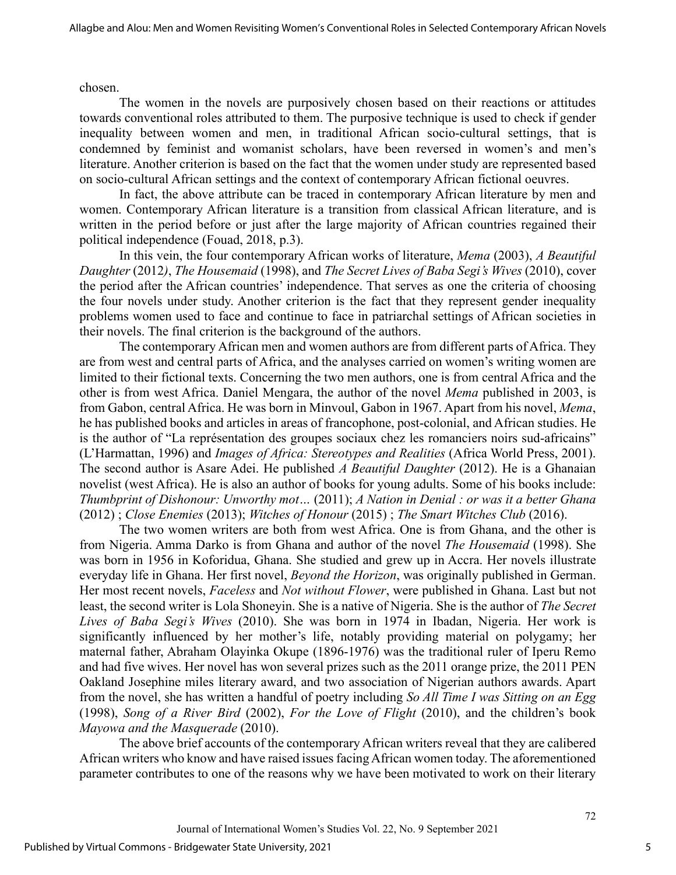chosen.

The women in the novels are purposively chosen based on their reactions or attitudes towards conventional roles attributed to them. The purposive technique is used to check if gender inequality between women and men, in traditional African socio-cultural settings, that is condemned by feminist and womanist scholars, have been reversed in women's and men's literature. Another criterion is based on the fact that the women under study are represented based on socio-cultural African settings and the context of contemporary African fictional oeuvres.

In fact, the above attribute can be traced in contemporary African literature by men and women. Contemporary African literature is a transition from classical African literature, and is written in the period before or just after the large majority of African countries regained their political independence (Fouad, 2018, p.3).

In this vein, the four contemporary African works of literature, *Mema* (2003), *A Beautiful Daughter* (2012*)*, *The Housemaid* (1998), and *The Secret Lives of Baba Segi's Wives* (2010), cover the period after the African countries' independence. That serves as one the criteria of choosing the four novels under study. Another criterion is the fact that they represent gender inequality problems women used to face and continue to face in patriarchal settings of African societies in their novels. The final criterion is the background of the authors.

The contemporary African men and women authors are from different parts of Africa. They are from west and central parts of Africa, and the analyses carried on women's writing women are limited to their fictional texts. Concerning the two men authors, one is from central Africa and the other is from west Africa. Daniel Mengara, the author of the novel *Mema* published in 2003, is from Gabon, central Africa. He was born in Minvoul, Gabon in 1967. Apart from his novel, *Mema*, he has published books and articles in areas of francophone, post-colonial, and African studies. He is the author of "La représentation des groupes sociaux chez les romanciers noirs sud-africains" (L'Harmattan, 1996) and *Images of Africa: Stereotypes and Realities* (Africa World Press, 2001). The second author is Asare Adei. He published *A Beautiful Daughter* (2012). He is a Ghanaian novelist (west Africa). He is also an author of books for young adults. Some of his books include: *Thumbprint of Dishonour: Unworthy mot…* (2011); *A Nation in Denial : or was it a better Ghana* (2012) ; *Close Enemies* (2013); *Witches of Honour* (2015) ; *The Smart Witches Club* (2016).

The two women writers are both from west Africa. One is from Ghana, and the other is from Nigeria. Amma Darko is from Ghana and author of the novel *The Housemaid* (1998). She was born in 1956 in Koforidua, Ghana. She studied and grew up in Accra. Her novels illustrate everyday life in Ghana. Her first novel, *Beyond the Horizon*, was originally published in German. Her most recent novels, *Faceless* and *Not without Flower*, were published in Ghana. Last but not least, the second writer is Lola Shoneyin. She is a native of Nigeria. She is the author of *The Secret Lives of Baba Segi's Wives* (2010). She was born in 1974 in Ibadan, Nigeria. Her work is significantly influenced by her mother's life, notably providing material on polygamy; her maternal father, Abraham Olayinka Okupe (1896-1976) was the traditional ruler of Iperu Remo and had five wives. Her novel has won several prizes such as the 2011 orange prize, the 2011 PEN Oakland Josephine miles literary award, and two association of Nigerian authors awards. Apart from the novel, she has written a handful of poetry including *So All Time I was Sitting on an Egg* (1998), *Song of a River Bird* (2002), *For the Love of Flight* (2010), and the children's book *Mayowa and the Masquerade* (2010).

The above brief accounts of the contemporary African writers reveal that they are calibered African writers who know and have raised issues facing African women today. The aforementioned parameter contributes to one of the reasons why we have been motivated to work on their literary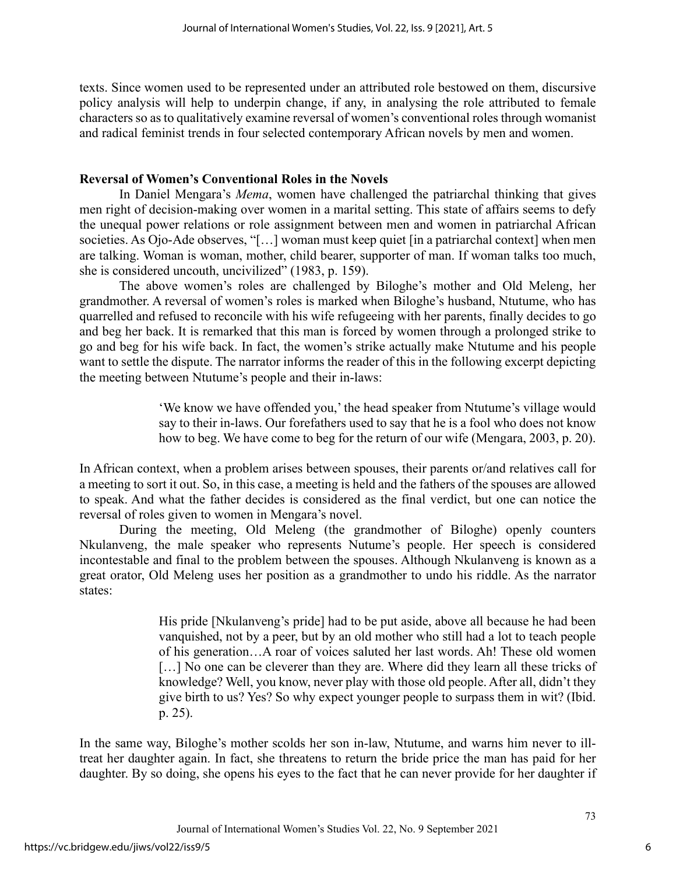texts. Since women used to be represented under an attributed role bestowed on them, discursive policy analysis will help to underpin change, if any, in analysing the role attributed to female characters so as to qualitatively examine reversal of women's conventional roles through womanist and radical feminist trends in four selected contemporary African novels by men and women.

### **Reversal of Women's Conventional Roles in the Novels**

In Daniel Mengara's *Mema*, women have challenged the patriarchal thinking that gives men right of decision-making over women in a marital setting. This state of affairs seems to defy the unequal power relations or role assignment between men and women in patriarchal African societies. As Ojo-Ade observes, "[…] woman must keep quiet [in a patriarchal context] when men are talking. Woman is woman, mother, child bearer, supporter of man. If woman talks too much, she is considered uncouth, uncivilized" (1983, p. 159).

The above women's roles are challenged by Biloghe's mother and Old Meleng, her grandmother. A reversal of women's roles is marked when Biloghe's husband, Ntutume, who has quarrelled and refused to reconcile with his wife refugeeing with her parents, finally decides to go and beg her back. It is remarked that this man is forced by women through a prolonged strike to go and beg for his wife back. In fact, the women's strike actually make Ntutume and his people want to settle the dispute. The narrator informs the reader of this in the following excerpt depicting the meeting between Ntutume's people and their in-laws:

> 'We know we have offended you,' the head speaker from Ntutume's village would say to their in-laws. Our forefathers used to say that he is a fool who does not know how to beg. We have come to beg for the return of our wife (Mengara, 2003, p. 20).

In African context, when a problem arises between spouses, their parents or/and relatives call for a meeting to sort it out. So, in this case, a meeting is held and the fathers of the spouses are allowed to speak. And what the father decides is considered as the final verdict, but one can notice the reversal of roles given to women in Mengara's novel.

During the meeting, Old Meleng (the grandmother of Biloghe) openly counters Nkulanveng, the male speaker who represents Nutume's people. Her speech is considered incontestable and final to the problem between the spouses. Although Nkulanveng is known as a great orator, Old Meleng uses her position as a grandmother to undo his riddle. As the narrator states:

> His pride [Nkulanveng's pride] had to be put aside, above all because he had been vanquished, not by a peer, but by an old mother who still had a lot to teach people of his generation…A roar of voices saluted her last words. Ah! These old women [...] No one can be cleverer than they are. Where did they learn all these tricks of knowledge? Well, you know, never play with those old people. After all, didn't they give birth to us? Yes? So why expect younger people to surpass them in wit? (Ibid. p. 25).

In the same way, Biloghe's mother scolds her son in-law, Ntutume, and warns him never to illtreat her daughter again. In fact, she threatens to return the bride price the man has paid for her daughter. By so doing, she opens his eyes to the fact that he can never provide for her daughter if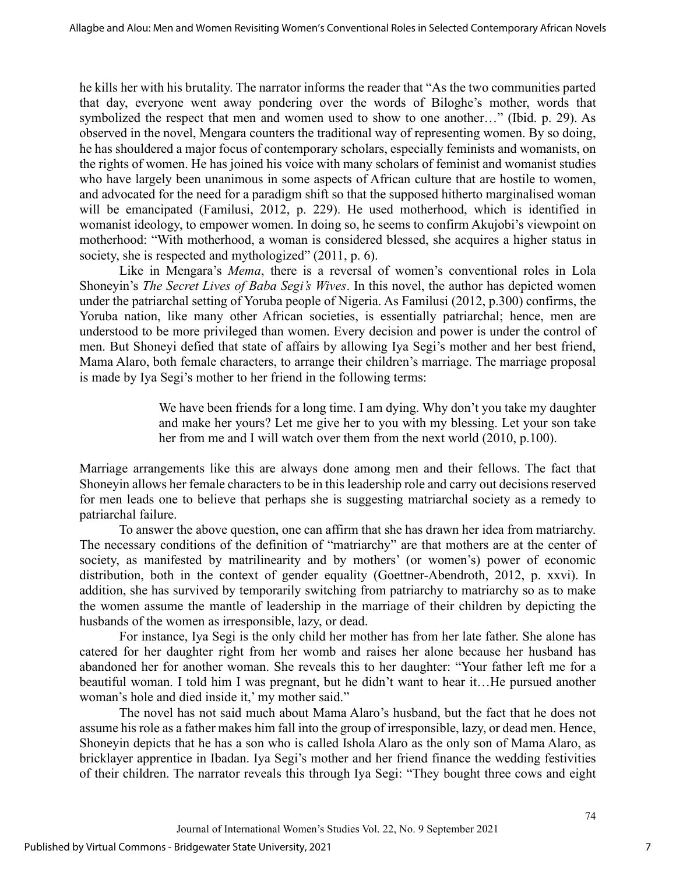he kills her with his brutality. The narrator informs the reader that "As the two communities parted that day, everyone went away pondering over the words of Biloghe's mother, words that symbolized the respect that men and women used to show to one another…" (Ibid. p. 29). As observed in the novel, Mengara counters the traditional way of representing women. By so doing, he has shouldered a major focus of contemporary scholars, especially feminists and womanists, on the rights of women. He has joined his voice with many scholars of feminist and womanist studies who have largely been unanimous in some aspects of African culture that are hostile to women, and advocated for the need for a paradigm shift so that the supposed hitherto marginalised woman will be emancipated (Familusi, 2012, p. 229). He used motherhood, which is identified in womanist ideology, to empower women. In doing so, he seems to confirm Akujobi's viewpoint on motherhood: "With motherhood, a woman is considered blessed, she acquires a higher status in society, she is respected and mythologized" (2011, p. 6).

Like in Mengara's *Mema*, there is a reversal of women's conventional roles in Lola Shoneyin's *The Secret Lives of Baba Segi's Wives*. In this novel, the author has depicted women under the patriarchal setting of Yoruba people of Nigeria. As Familusi (2012, p.300) confirms, the Yoruba nation, like many other African societies, is essentially patriarchal; hence, men are understood to be more privileged than women. Every decision and power is under the control of men. But Shoneyi defied that state of affairs by allowing Iya Segi's mother and her best friend, Mama Alaro, both female characters, to arrange their children's marriage. The marriage proposal is made by Iya Segi's mother to her friend in the following terms:

> We have been friends for a long time. I am dying. Why don't you take my daughter and make her yours? Let me give her to you with my blessing. Let your son take her from me and I will watch over them from the next world (2010, p.100).

Marriage arrangements like this are always done among men and their fellows. The fact that Shoneyin allows her female characters to be in this leadership role and carry out decisions reserved for men leads one to believe that perhaps she is suggesting matriarchal society as a remedy to patriarchal failure.

To answer the above question, one can affirm that she has drawn her idea from matriarchy. The necessary conditions of the definition of "matriarchy" are that mothers are at the center of society, as manifested by matrilinearity and by mothers' (or women's) power of economic distribution, both in the context of gender equality (Goettner-Abendroth, 2012, p. xxvi). In addition, she has survived by temporarily switching from patriarchy to matriarchy so as to make the women assume the mantle of leadership in the marriage of their children by depicting the husbands of the women as irresponsible, lazy, or dead.

For instance, Iya Segi is the only child her mother has from her late father. She alone has catered for her daughter right from her womb and raises her alone because her husband has abandoned her for another woman. She reveals this to her daughter: "Your father left me for a beautiful woman. I told him I was pregnant, but he didn't want to hear it…He pursued another woman's hole and died inside it,' my mother said."

The novel has not said much about Mama Alaro's husband, but the fact that he does not assume his role as a father makes him fall into the group of irresponsible, lazy, or dead men. Hence, Shoneyin depicts that he has a son who is called Ishola Alaro as the only son of Mama Alaro, as bricklayer apprentice in Ibadan. Iya Segi's mother and her friend finance the wedding festivities of their children. The narrator reveals this through Iya Segi: "They bought three cows and eight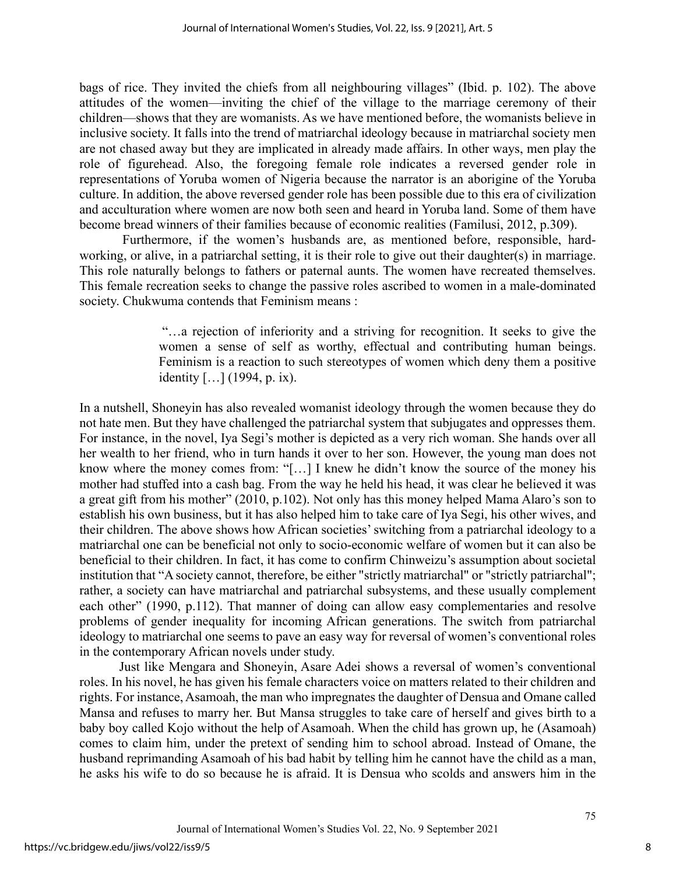bags of rice. They invited the chiefs from all neighbouring villages" (Ibid. p. 102). The above attitudes of the women—inviting the chief of the village to the marriage ceremony of their children—shows that they are womanists. As we have mentioned before, the womanists believe in inclusive society. It falls into the trend of matriarchal ideology because in matriarchal society men are not chased away but they are implicated in already made affairs. In other ways, men play the role of figurehead. Also, the foregoing female role indicates a reversed gender role in representations of Yoruba women of Nigeria because the narrator is an aborigine of the Yoruba culture. In addition, the above reversed gender role has been possible due to this era of civilization and acculturation where women are now both seen and heard in Yoruba land. Some of them have become bread winners of their families because of economic realities (Familusi, 2012, p.309).

Furthermore, if the women's husbands are, as mentioned before, responsible, hardworking, or alive, in a patriarchal setting, it is their role to give out their daughter(s) in marriage. This role naturally belongs to fathers or paternal aunts. The women have recreated themselves. This female recreation seeks to change the passive roles ascribed to women in a male-dominated society. Chukwuma contends that Feminism means :

> "…a rejection of inferiority and a striving for recognition. It seeks to give the women a sense of self as worthy, effectual and contributing human beings. Feminism is a reaction to such stereotypes of women which deny them a positive identity […] (1994, p. ix).

In a nutshell, Shoneyin has also revealed womanist ideology through the women because they do not hate men. But they have challenged the patriarchal system that subjugates and oppresses them. For instance, in the novel, Iya Segi's mother is depicted as a very rich woman. She hands over all her wealth to her friend, who in turn hands it over to her son. However, the young man does not know where the money comes from: "[…] I knew he didn't know the source of the money his mother had stuffed into a cash bag. From the way he held his head, it was clear he believed it was a great gift from his mother" (2010, p.102). Not only has this money helped Mama Alaro's son to establish his own business, but it has also helped him to take care of Iya Segi, his other wives, and their children. The above shows how African societies' switching from a patriarchal ideology to a matriarchal one can be beneficial not only to socio-economic welfare of women but it can also be beneficial to their children. In fact, it has come to confirm Chinweizu's assumption about societal institution that "A society cannot, therefore, be either "strictly matriarchal" or "strictly patriarchal"; rather, a society can have matriarchal and patriarchal subsystems, and these usually complement each other" (1990, p.112). That manner of doing can allow easy complementaries and resolve problems of gender inequality for incoming African generations. The switch from patriarchal ideology to matriarchal one seems to pave an easy way for reversal of women's conventional roles in the contemporary African novels under study.

Just like Mengara and Shoneyin, Asare Adei shows a reversal of women's conventional roles. In his novel, he has given his female characters voice on matters related to their children and rights. For instance, Asamoah, the man who impregnates the daughter of Densua and Omane called Mansa and refuses to marry her. But Mansa struggles to take care of herself and gives birth to a baby boy called Kojo without the help of Asamoah. When the child has grown up, he (Asamoah) comes to claim him, under the pretext of sending him to school abroad. Instead of Omane, the husband reprimanding Asamoah of his bad habit by telling him he cannot have the child as a man, he asks his wife to do so because he is afraid. It is Densua who scolds and answers him in the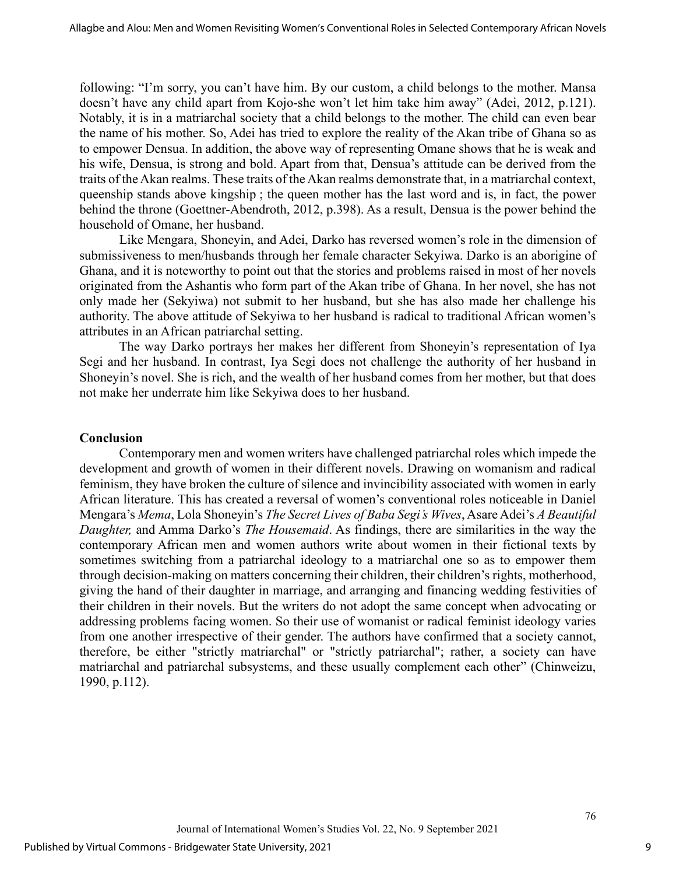following: "I'm sorry, you can't have him. By our custom, a child belongs to the mother. Mansa doesn't have any child apart from Kojo-she won't let him take him away" (Adei, 2012, p.121). Notably, it is in a matriarchal society that a child belongs to the mother. The child can even bear the name of his mother. So, Adei has tried to explore the reality of the Akan tribe of Ghana so as to empower Densua. In addition, the above way of representing Omane shows that he is weak and his wife, Densua, is strong and bold. Apart from that, Densua's attitude can be derived from the traits of the Akan realms. These traits of the Akan realms demonstrate that, in a matriarchal context, queenship stands above kingship ; the queen mother has the last word and is, in fact, the power behind the throne (Goettner-Abendroth, 2012, p.398). As a result, Densua is the power behind the household of Omane, her husband.

Like Mengara, Shoneyin, and Adei, Darko has reversed women's role in the dimension of submissiveness to men/husbands through her female character Sekyiwa. Darko is an aborigine of Ghana, and it is noteworthy to point out that the stories and problems raised in most of her novels originated from the Ashantis who form part of the Akan tribe of Ghana. In her novel, she has not only made her (Sekyiwa) not submit to her husband, but she has also made her challenge his authority. The above attitude of Sekyiwa to her husband is radical to traditional African women's attributes in an African patriarchal setting.

The way Darko portrays her makes her different from Shoneyin's representation of Iya Segi and her husband. In contrast, Iya Segi does not challenge the authority of her husband in Shoneyin's novel. She is rich, and the wealth of her husband comes from her mother, but that does not make her underrate him like Sekyiwa does to her husband.

#### **Conclusion**

Contemporary men and women writers have challenged patriarchal roles which impede the development and growth of women in their different novels. Drawing on womanism and radical feminism, they have broken the culture of silence and invincibility associated with women in early African literature. This has created a reversal of women's conventional roles noticeable in Daniel Mengara's *Mema*, Lola Shoneyin's *The Secret Lives of Baba Segi's Wives*, Asare Adei's *A Beautiful Daughter,* and Amma Darko's *The Housemaid*. As findings, there are similarities in the way the contemporary African men and women authors write about women in their fictional texts by sometimes switching from a patriarchal ideology to a matriarchal one so as to empower them through decision-making on matters concerning their children, their children's rights, motherhood, giving the hand of their daughter in marriage, and arranging and financing wedding festivities of their children in their novels. But the writers do not adopt the same concept when advocating or addressing problems facing women. So their use of womanist or radical feminist ideology varies from one another irrespective of their gender. The authors have confirmed that a society cannot, therefore, be either "strictly matriarchal" or "strictly patriarchal"; rather, a society can have matriarchal and patriarchal subsystems, and these usually complement each other" (Chinweizu, 1990, p.112).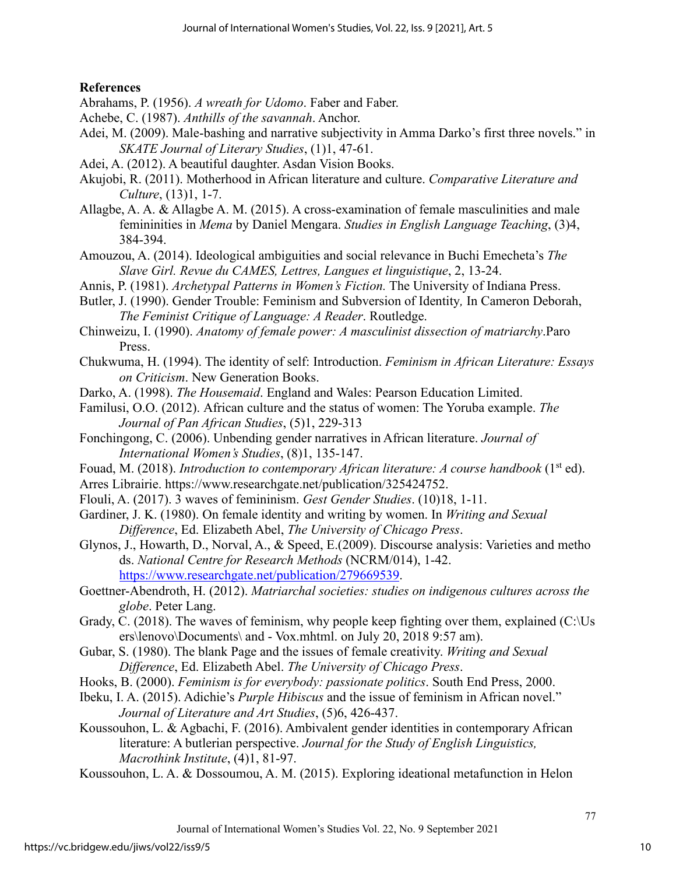## **References**

- Abrahams, P. (1956). *A wreath for Udomo*. Faber and Faber.
- Achebe, C. (1987). *Anthills of the savannah*. Anchor.
- Adei, M. (2009). Male-bashing and narrative subjectivity in Amma Darko's first three novels." in  *SKATE Journal of Literary Studies*, (1)1, 47-61.
- Adei, A. (2012). A beautiful daughter. Asdan Vision Books.
- Akujobi, R. (2011). Motherhood in African literature and culture. *Comparative Literature and Culture*, (13)1, 1-7.
- Allagbe, A. A. & Allagbe A. M. (2015). A cross-examination of female masculinities and male femininities in *Mema* by Daniel Mengara. *Studies in English Language Teaching*, (3)4, 384-394.
- Amouzou, A. (2014). Ideological ambiguities and social relevance in Buchi Emecheta's *The Slave Girl. Revue du CAMES, Lettres, Langues et linguistique*, 2, 13-24.
- Annis, P. (1981). *Archetypal Patterns in Women's Fiction.* The University of Indiana Press.
- Butler, J. (1990). Gender Trouble: Feminism and Subversion of Identity*,* In Cameron Deborah,  *The Feminist Critique of Language: A Reader*. Routledge.
- Chinweizu, I. (1990). *Anatomy of female power: A masculinist dissection of matriarchy*.Paro Press.
- Chukwuma, H. (1994). The identity of self: Introduction. *Feminism in African Literature: Essays on Criticism*. New Generation Books.
- Darko, A. (1998). *The Housemaid*. England and Wales: Pearson Education Limited.
- Familusi, O.O. (2012). African culture and the status of women: The Yoruba example. *The Journal of Pan African Studies*, (5)1, 229-313
- Fonchingong, C. (2006). Unbending gender narratives in African literature. *Journal of International Women's Studies*, (8)1, 135-147.
- Fouad, M. (2018). *Introduction to contemporary African literature: A course handbook* (1<sup>st</sup> ed).
- Arres Librairie. https://www.researchgate.net/publication/325424752.
- Flouli, A. (2017). 3 waves of femininism. *Gest Gender Studies*. (10)18, 1-11.
- Gardiner, J. K. (1980). On female identity and writing by women. In *Writing and Sexual Difference*, Ed. Elizabeth Abel, *The University of Chicago Press*.
- Glynos, J., Howarth, D., Norval, A., & Speed, E.(2009). Discourse analysis: Varieties and metho ds. *National Centre for Research Methods* (NCRM/014), 1-42. [https://www.researchgate.net/publication/279669539.](https://www.researchgate.net/publication/279669539)
- Goettner-Abendroth, H. (2012). *Matriarchal societies: studies on indigenous cultures across the globe*. Peter Lang.
- Grady, C. (2018). The waves of feminism, why people keep fighting over them, explained (C:\Us ers\lenovo\Documents\ and - Vox.mhtml. on July 20, 2018 9:57 am).
- Gubar, S. (1980). The blank Page and the issues of female creativity. *Writing and Sexual Difference*, Ed. Elizabeth Abel. *The University of Chicago Press*.
- Hooks, B. (2000). *Feminism is for everybody: passionate politics*. South End Press, 2000.
- Ibeku, I. A. (2015). Adichie's *Purple Hibiscus* and the issue of feminism in African novel." *Journal of Literature and Art Studies*, (5)6, 426-437.
- Koussouhon, L. & Agbachi, F. (2016). Ambivalent gender identities in contemporary African literature: A butlerian perspective. *Journal for the Study of English Linguistics, Macrothink Institute*, (4)1, 81-97.
- Koussouhon, L. A. & Dossoumou, A. M. (2015). Exploring ideational metafunction in Helon